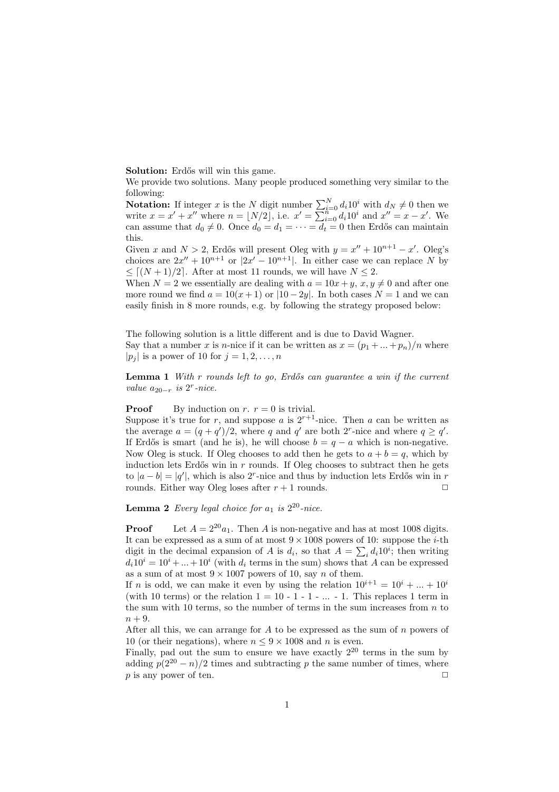Solution: Erdős will win this game.

We provide two solutions. Many people produced something very similar to the following:

**Notation:** If integer x is the N digit number  $\sum_{i=0}^{N} d_i 10^i$  with  $d_N \neq 0$  then we write  $x = x' + x''$  where  $n = \lfloor N/2 \rfloor$ , i.e.  $x' = \sum_{i=0}^{n} d_i 10^i$  and  $x'' = x - x'$ . We can assume that  $d_0 \neq 0$ . Once  $d_0 = d_1 = \cdots = d_t = 0$  then Erdős can maintain this.

Given x and  $N > 2$ , Erdős will present Oleg with  $y = x'' + 10^{n+1} - x'$ . Oleg's choices are  $2x'' + 10^{n+1}$  or  $|2x' - 10^{n+1}|$ . In either case we can replace N by  $\leq$   $\lceil (N+1)/2 \rceil$ . After at most 11 rounds, we will have  $N \leq 2$ .

When  $N = 2$  we essentially are dealing with  $a = 10x + y$ ,  $x, y \neq 0$  and after one more round we find  $a = 10(x+1)$  or  $|10-2y|$ . In both cases  $N = 1$  and we can easily finish in 8 more rounds, e.g. by following the strategy proposed below:

The following solution is a little different and is due to David Wagner. Say that a number x is n-nice if it can be written as  $x = (p_1 + ... + p_n)/n$  where  $|p_j|$  is a power of 10 for  $j = 1, 2, \ldots, n$ 

**Lemma 1** With r rounds left to go, Erdős can guarantee a win if the current value  $a_{20-r}$  is  $2^r$ -nice.

## **Proof** By induction on  $r$ .  $r = 0$  is trivial.

Suppose it's true for r, and suppose a is  $2^{r+1}$ -nice. Then a can be written as the average  $a = (q + q')/2$ , where q and q' are both 2<sup>r</sup>-nice and where  $q \ge q'$ . If Erdős is smart (and he is), he will choose  $b = q - a$  which is non-negative. Now Oleg is stuck. If Oleg chooses to add then he gets to  $a + b = q$ , which by induction lets Erdős win in  $r$  rounds. If Oleg chooses to subtract then he gets to  $|a - b| = |q'|$ , which is also 2<sup>r</sup>-nice and thus by induction lets Erdős win in r rounds. Either way Oleg loses after  $r + 1$  rounds.  $\Box$ 

**Lemma 2** Every legal choice for  $a_1$  is  $2^{20}$ -nice.

**Proof** Let  $A = 2^{20}a_1$ . Then A is non-negative and has at most 1008 digits. It can be expressed as a sum of at most  $9 \times 1008$  powers of 10: suppose the *i*-th digit in the decimal expansion of A is  $d_i$ , so that  $A = \sum_i d_i 10^i$ ; then writing  $d_i 10^i = 10^i + ... + 10^i$  (with  $d_i$  terms in the sum) shows that A can be expressed as a sum of at most  $9 \times 1007$  powers of 10, say n of them.

If *n* is odd, we can make it even by using the relation  $10^{i+1} = 10^i + ... + 10^i$ (with 10 terms) or the relation  $1 = 10 - 1 - 1 - \dots - 1$ . This replaces 1 term in the sum with 10 terms, so the number of terms in the sum increases from  $n$  to  $n + 9$ .

After all this, we can arrange for  $A$  to be expressed as the sum of  $n$  powers of 10 (or their negations), where  $n \leq 9 \times 1008$  and n is even.

Finally, pad out the sum to ensure we have exactly  $2^{20}$  terms in the sum by adding  $p(2^{20} - n)/2$  times and subtracting p the same number of times, where p is any power of ten.  $\Box$